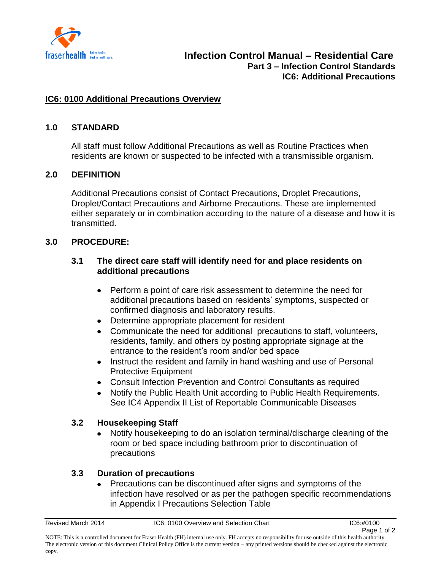

## **IC6: 0100 Additional Precautions Overview**

## **1.0 STANDARD**

All staff must follow Additional Precautions as well as Routine Practices when residents are known or suspected to be infected with a transmissible organism.

## **2.0 DEFINITION**

Additional Precautions consist of Contact Precautions, Droplet Precautions, Droplet/Contact Precautions and Airborne Precautions. These are implemented either separately or in combination according to the nature of a disease and how it is transmitted.

## **3.0 PROCEDURE:**

## **3.1 The direct care staff will identify need for and place residents on additional precautions**

- Perform a point of care risk assessment to determine the need for additional precautions based on residents' symptoms, suspected or confirmed diagnosis and laboratory results.
- Determine appropriate placement for resident
- Communicate the need for additional precautions to staff, volunteers, residents, family, and others by posting appropriate signage at the entrance to the resident's room and/or bed space
- Instruct the resident and family in hand washing and use of Personal Protective Equipment
- Consult Infection Prevention and Control Consultants as required
- Notify the Public Health Unit according to Public Health Requirements. See IC4 Appendix II List of Reportable Communicable Diseases

#### **3.2 Housekeeping Staff**

Notify housekeeping to do an isolation terminal/discharge cleaning of the room or bed space including bathroom prior to discontinuation of precautions

## **3.3 Duration of precautions**

Precautions can be discontinued after signs and symptoms of the  $\bullet$ infection have resolved or as per the pathogen specific recommendations in Appendix I Precautions Selection Table